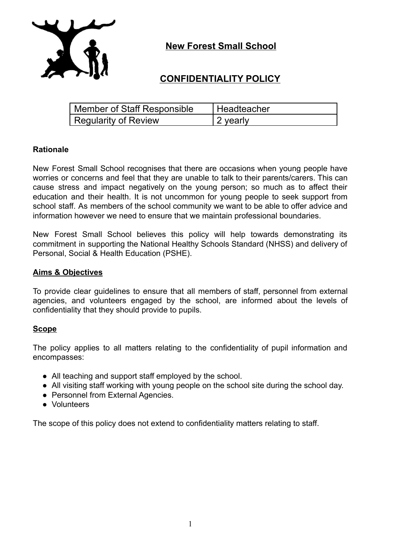

**New Forest Small School**

# **CONFIDENTIALITY POLICY**

| <b>Member of Staff Responsible</b> | l Headteacher |
|------------------------------------|---------------|
| Regularity of Review               | 2 yearly      |

## **Rationale**

New Forest Small School recognises that there are occasions when young people have worries or concerns and feel that they are unable to talk to their parents/carers. This can cause stress and impact negatively on the young person; so much as to affect their education and their health. It is not uncommon for young people to seek support from school staff. As members of the school community we want to be able to offer advice and information however we need to ensure that we maintain professional boundaries.

New Forest Small School believes this policy will help towards demonstrating its commitment in supporting the National Healthy Schools Standard (NHSS) and delivery of Personal, Social & Health Education (PSHE).

## **Aims & Objectives**

To provide clear guidelines to ensure that all members of staff, personnel from external agencies, and volunteers engaged by the school, are informed about the levels of confidentiality that they should provide to pupils.

#### **Scope**

The policy applies to all matters relating to the confidentiality of pupil information and encompasses:

- All teaching and support staff employed by the school.
- All visiting staff working with young people on the school site during the school day.
- Personnel from External Agencies.
- Volunteers

The scope of this policy does not extend to confidentiality matters relating to staff.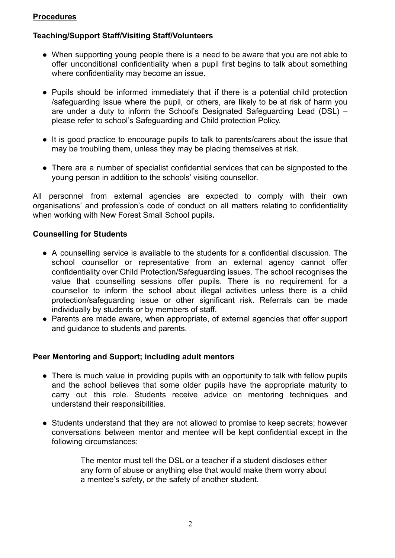# **Procedures**

# **Teaching/Support Staff/Visiting Staff/Volunteers**

- When supporting young people there is a need to be aware that you are not able to offer unconditional confidentiality when a pupil first begins to talk about something where confidentiality may become an issue.
- Pupils should be informed immediately that if there is a potential child protection /safeguarding issue where the pupil, or others, are likely to be at risk of harm you are under a duty to inform the School's Designated Safeguarding Lead (DSL) – please refer to school's Safeguarding and Child protection Policy.
- It is good practice to encourage pupils to talk to parents/carers about the issue that may be troubling them, unless they may be placing themselves at risk.
- **●** There are a number of specialist confidential services that can be signposted to the young person in addition to the schools' visiting counsellor.

All personnel from external agencies are expected to comply with their own organisations' and profession's code of conduct on all matters relating to confidentiality when working with New Forest Small School pupils**.**

## **Counselling for Students**

- A counselling service is available to the students for a confidential discussion. The school counsellor or representative from an external agency cannot offer confidentiality over Child Protection/Safeguarding issues. The school recognises the value that counselling sessions offer pupils. There is no requirement for a counsellor to inform the school about illegal activities unless there is a child protection/safeguarding issue or other significant risk. Referrals can be made individually by students or by members of staff.
- Parents are made aware, when appropriate, of external agencies that offer support and guidance to students and parents.

# **Peer Mentoring and Support; including adult mentors**

- There is much value in providing pupils with an opportunity to talk with fellow pupils and the school believes that some older pupils have the appropriate maturity to carry out this role. Students receive advice on mentoring techniques and understand their responsibilities.
- Students understand that they are not allowed to promise to keep secrets; however conversations between mentor and mentee will be kept confidential except in the following circumstances:

The mentor must tell the DSL or a teacher if a student discloses either any form of abuse or anything else that would make them worry about a mentee's safety, or the safety of another student.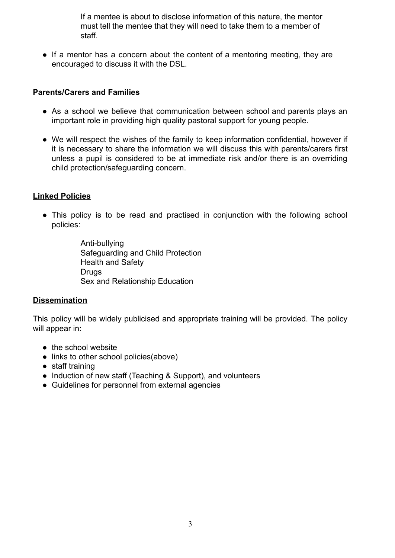If a mentee is about to disclose information of this nature, the mentor must tell the mentee that they will need to take them to a member of staff.

• If a mentor has a concern about the content of a mentoring meeting, they are encouraged to discuss it with the DSL.

## **Parents/Carers and Families**

- As a school we believe that communication between school and parents plays an important role in providing high quality pastoral support for young people.
- We will respect the wishes of the family to keep information confidential, however if it is necessary to share the information we will discuss this with parents/carers first unless a pupil is considered to be at immediate risk and/or there is an overriding child protection/safeguarding concern.

## **Linked Policies**

• This policy is to be read and practised in conjunction with the following school policies:

> Anti-bullying Safeguarding and Child Protection Health and Safety Drugs Sex and Relationship Education

#### **Dissemination**

This policy will be widely publicised and appropriate training will be provided. The policy will appear in:

- the school website
- links to other school policies(above)
- staff training
- Induction of new staff (Teaching & Support), and volunteers
- Guidelines for personnel from external agencies